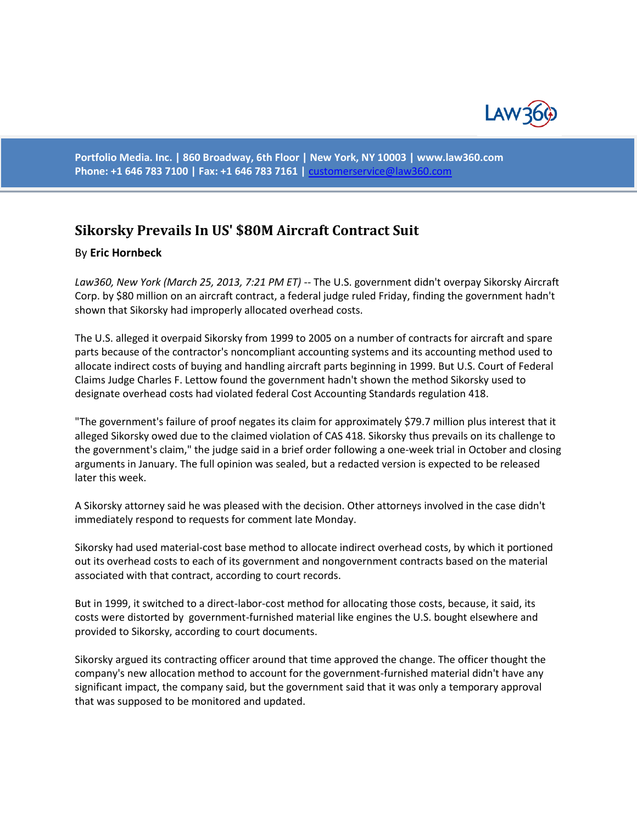

**Portfolio Media. Inc. | 860 Broadway, 6th Floor | New York, NY 10003 | www.law360.com Phone: +1 646 783 7100 | Fax: +1 646 783 7161 |** [customerservice@law360.com](mailto:customerservice@law360.com)

## **[Sikorsky Prevails In US' \\$80M Aircraft Contract Suit](http://www.law360.com/articles/426976)**

## By **Eric Hornbeck**

*Law360, New York (March 25, 2013, 7:21 PM ET)* -- The U.S. government didn't overpay Sikorsky Aircraft Corp. by \$80 million on an aircraft contract, a federal judge ruled Friday, finding the government hadn't shown that Sikorsky had improperly allocated overhead costs.

The U.S. alleged it overpaid Sikorsky from 1999 to 2005 on a number of contracts for aircraft and spare parts because of the contractor's noncompliant accounting systems and its accounting method used to allocate indirect costs of buying and handling aircraft parts beginning in 1999. But U.S. Court of Federal Claims Judge Charles F. Lettow found the government hadn't shown the method Sikorsky used to designate overhead costs had violated federal Cost Accounting Standards regulation 418.

"The government's failure of proof negates its claim for approximately \$79.7 million plus interest that it alleged Sikorsky owed due to the claimed violation of CAS 418. Sikorsky thus prevails on its challenge to the government's claim," the judge said in a brief order following a one-week trial in October and closing arguments in January. The full opinion was sealed, but a redacted version is expected to be released later this week.

A Sikorsky attorney said he was pleased with the decision. Other attorneys involved in the case didn't immediately respond to requests for comment late Monday.

Sikorsky had used material-cost base method to allocate indirect overhead costs, by which it portioned out its overhead costs to each of its government and nongovernment contracts based on the material associated with that contract, according to court records.

But in 1999, it switched to a direct-labor-cost method for allocating those costs, because, it said, its costs were distorted by government-furnished material like engines the U.S. bought elsewhere and provided to Sikorsky, according to court documents.

Sikorsky argued its contracting officer around that time approved the change. The officer thought the company's new allocation method to account for the government-furnished material didn't have any significant impact, the company said, but the government said that it was only a temporary approval that was supposed to be monitored and updated.